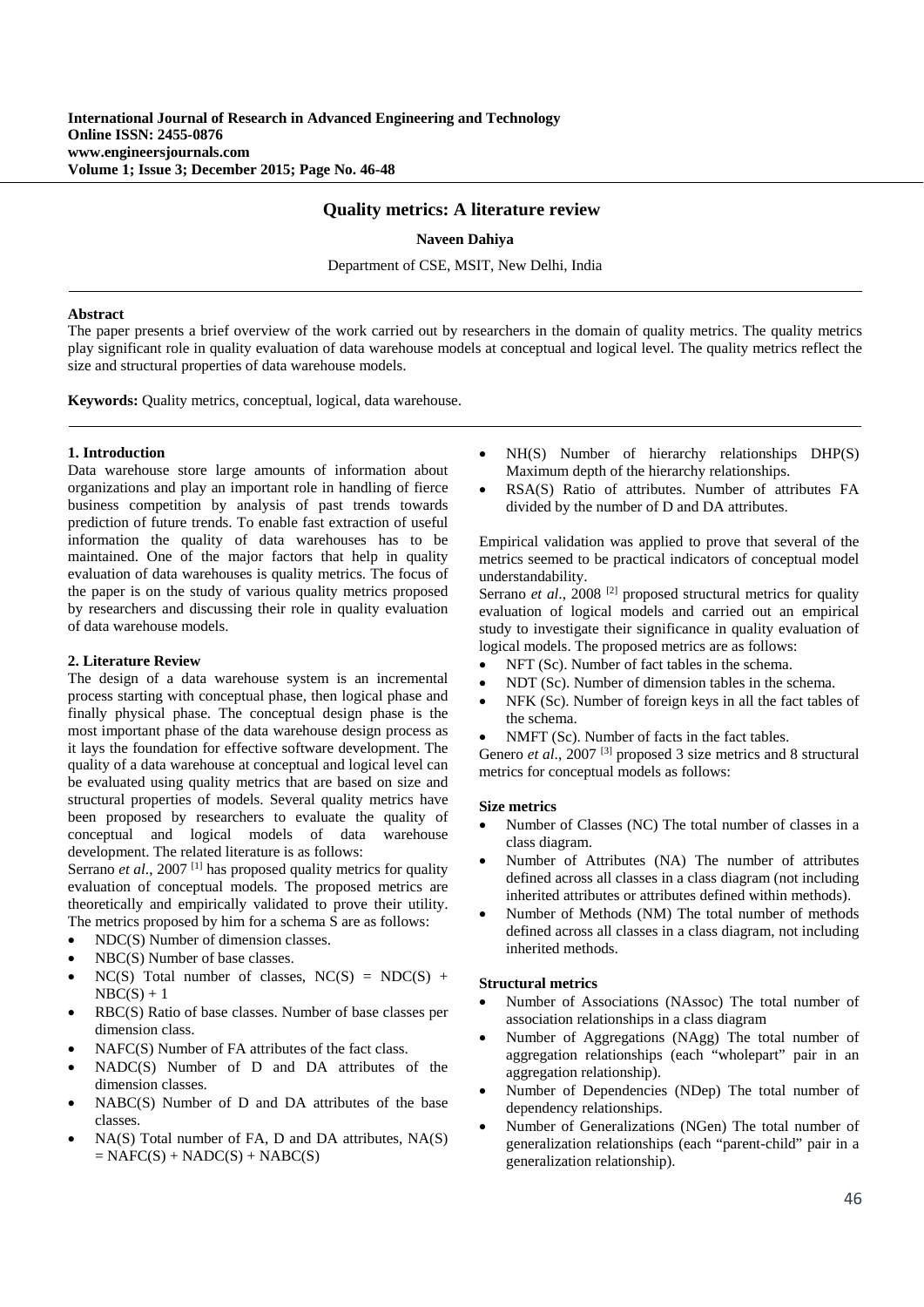# **Quality metrics: A literature review**

## **Naveen Dahiya**

Department of CSE, MSIT, New Delhi, India

### **Abstract**

The paper presents a brief overview of the work carried out by researchers in the domain of quality metrics. The quality metrics play significant role in quality evaluation of data warehouse models at conceptual and logical level. The quality metrics reflect the size and structural properties of data warehouse models.

**Keywords:** Quality metrics, conceptual, logical, data warehouse.

### **1. Introduction**

Data warehouse store large amounts of information about organizations and play an important role in handling of fierce business competition by analysis of past trends towards prediction of future trends. To enable fast extraction of useful information the quality of data warehouses has to be maintained. One of the major factors that help in quality evaluation of data warehouses is quality metrics. The focus of the paper is on the study of various quality metrics proposed by researchers and discussing their role in quality evaluation of data warehouse models.

#### **2. Literature Review**

The design of a data warehouse system is an incremental process starting with conceptual phase, then logical phase and finally physical phase. The conceptual design phase is the most important phase of the data warehouse design process as it lays the foundation for effective software development. The quality of a data warehouse at conceptual and logical level can be evaluated using quality metrics that are based on size and structural properties of models. Several quality metrics have been proposed by researchers to evaluate the quality of conceptual and logical models of data warehouse development. The related literature is as follows:

Serrano *et al.*, 2007<sup>[1]</sup> has proposed quality metrics for quality evaluation of conceptual models. The proposed metrics are theoretically and empirically validated to prove their utility. The metrics proposed by him for a schema S are as follows:

- NDC(S) Number of dimension classes.
- NBC(S) Number of base classes.
- NC(S) Total number of classes,  $NC(S) = NDC(S) +$  $NBC(S) + 1$
- RBC(S) Ratio of base classes. Number of base classes per dimension class.
- NAFC(S) Number of FA attributes of the fact class.
- NADC(S) Number of D and DA attributes of the dimension classes.
- NABC(S) Number of D and DA attributes of the base classes.
- NA(S) Total number of FA, D and DA attributes, NA(S)  $= NAFC(S) + NADC(S) + NABC(S)$
- NH(S) Number of hierarchy relationships DHP(S) Maximum depth of the hierarchy relationships.
- RSA(S) Ratio of attributes. Number of attributes FA divided by the number of D and DA attributes.

Empirical validation was applied to prove that several of the metrics seemed to be practical indicators of conceptual model understandability.

Serrano *et al.*, 2008<sup>[2]</sup> proposed structural metrics for quality evaluation of logical models and carried out an empirical study to investigate their significance in quality evaluation of logical models. The proposed metrics are as follows:

- NFT (Sc). Number of fact tables in the schema.
- NDT (Sc). Number of dimension tables in the schema.
- NFK (Sc). Number of foreign keys in all the fact tables of the schema.
- NMFT (Sc). Number of facts in the fact tables.

Genero *et al.*, 2007<sup>[3]</sup> proposed 3 size metrics and 8 structural metrics for conceptual models as follows:

#### **Size metrics**

- Number of Classes (NC) The total number of classes in a class diagram.
- Number of Attributes (NA) The number of attributes defined across all classes in a class diagram (not including inherited attributes or attributes defined within methods).
- Number of Methods (NM) The total number of methods defined across all classes in a class diagram, not including inherited methods.

## **Structural metrics**

- Number of Associations (NAssoc) The total number of association relationships in a class diagram
- Number of Aggregations (NAgg) The total number of aggregation relationships (each "wholepart" pair in an aggregation relationship).
- Number of Dependencies (NDep) The total number of dependency relationships.
- Number of Generalizations (NGen) The total number of generalization relationships (each "parent-child" pair in a generalization relationship).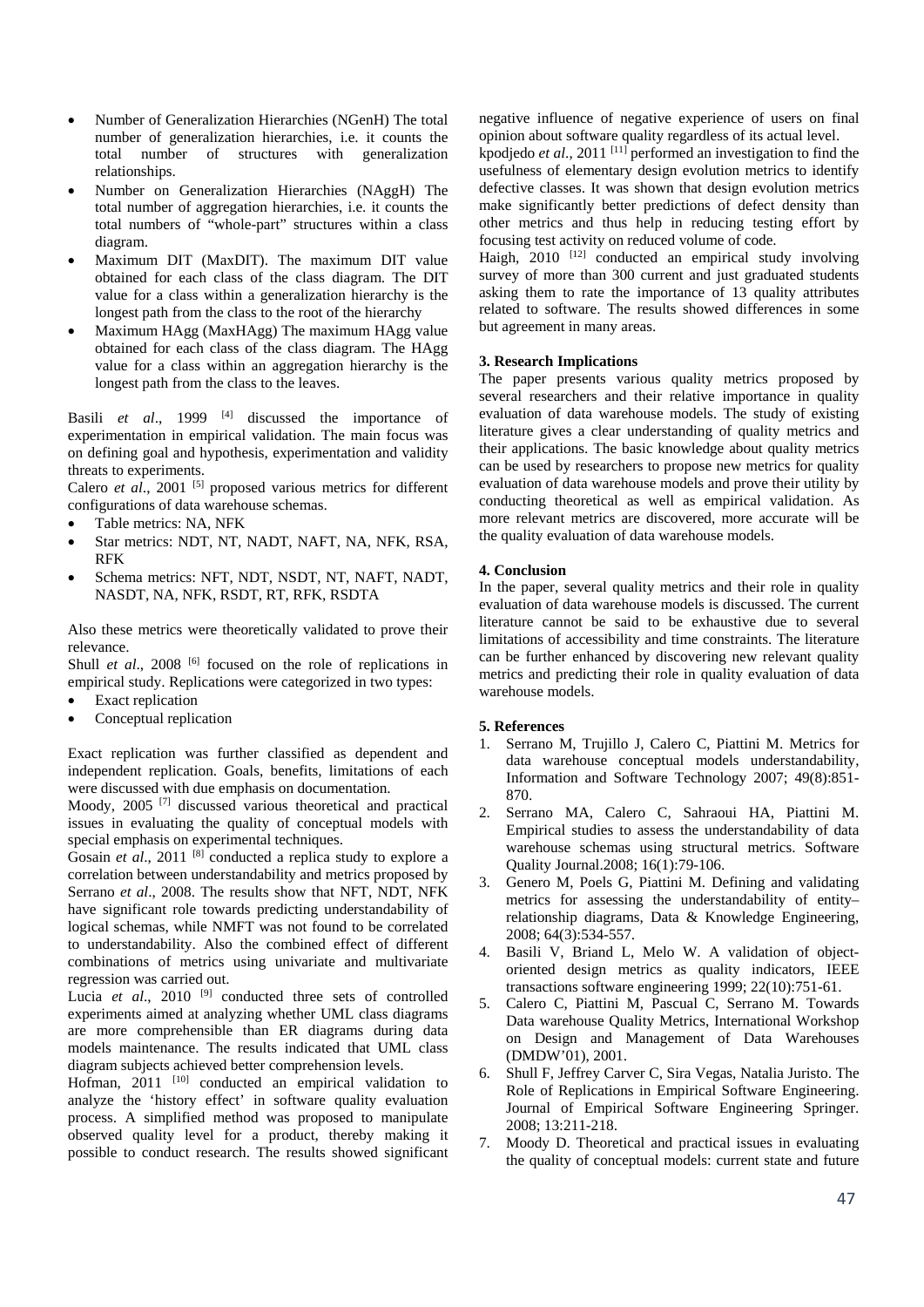- Number of Generalization Hierarchies (NGenH) The total number of generalization hierarchies, i.e. it counts the total number of structures with generalization relationships.
- Number on Generalization Hierarchies (NAggH) The total number of aggregation hierarchies, i.e. it counts the total numbers of "whole-part" structures within a class diagram.
- Maximum DIT (MaxDIT). The maximum DIT value obtained for each class of the class diagram. The DIT value for a class within a generalization hierarchy is the longest path from the class to the root of the hierarchy
- Maximum HAgg (MaxHAgg) The maximum HAgg value obtained for each class of the class diagram. The HAgg value for a class within an aggregation hierarchy is the longest path from the class to the leaves.

Basili *et al.*, 1999<sup>[4]</sup> discussed the importance of experimentation in empirical validation. The main focus was on defining goal and hypothesis, experimentation and validity threats to experiments.

Calero *et al.*, 2001<sup>[5]</sup> proposed various metrics for different configurations of data warehouse schemas.

- Table metrics: NA, NFK
- Star metrics: NDT, NT, NADT, NAFT, NA, NFK, RSA, RFK
- Schema metrics: NFT, NDT, NSDT, NT, NAFT, NADT, NASDT, NA, NFK, RSDT, RT, RFK, RSDTA

Also these metrics were theoretically validated to prove their relevance.

Shull *et al.*, 2008<sup>[6]</sup> focused on the role of replications in empirical study. Replications were categorized in two types:

- Exact replication
- Conceptual replication

Exact replication was further classified as dependent and independent replication. Goals, benefits, limitations of each were discussed with due emphasis on documentation.

Moody, 2005 [7] discussed various theoretical and practical issues in evaluating the quality of conceptual models with special emphasis on experimental techniques.

Gosain *et al.*, 2011<sup>[8]</sup> conducted a replica study to explore a correlation between understandability and metrics proposed by Serrano *et al*., 2008. The results show that NFT, NDT, NFK have significant role towards predicting understandability of logical schemas, while NMFT was not found to be correlated to understandability. Also the combined effect of different combinations of metrics using univariate and multivariate regression was carried out.

Lucia *et al.*, 2010<sup>[9]</sup> conducted three sets of controlled experiments aimed at analyzing whether UML class diagrams are more comprehensible than ER diagrams during data models maintenance. The results indicated that UML class diagram subjects achieved better comprehension levels.

Hofman, 2011 <sup>[10]</sup> conducted an empirical validation to analyze the 'history effect' in software quality evaluation process. A simplified method was proposed to manipulate observed quality level for a product, thereby making it possible to conduct research. The results showed significant negative influence of negative experience of users on final opinion about software quality regardless of its actual level.

kpodjedo *et al*., 2011 [11] performed an investigation to find the usefulness of elementary design evolution metrics to identify defective classes. It was shown that design evolution metrics make significantly better predictions of defect density than other metrics and thus help in reducing testing effort by focusing test activity on reduced volume of code.

Haigh,  $2010$  <sup>[12]</sup> conducted an empirical study involving survey of more than 300 current and just graduated students asking them to rate the importance of 13 quality attributes related to software. The results showed differences in some but agreement in many areas.

# **3. Research Implications**

The paper presents various quality metrics proposed by several researchers and their relative importance in quality evaluation of data warehouse models. The study of existing literature gives a clear understanding of quality metrics and their applications. The basic knowledge about quality metrics can be used by researchers to propose new metrics for quality evaluation of data warehouse models and prove their utility by conducting theoretical as well as empirical validation. As more relevant metrics are discovered, more accurate will be the quality evaluation of data warehouse models.

## **4. Conclusion**

In the paper, several quality metrics and their role in quality evaluation of data warehouse models is discussed. The current literature cannot be said to be exhaustive due to several limitations of accessibility and time constraints. The literature can be further enhanced by discovering new relevant quality metrics and predicting their role in quality evaluation of data warehouse models.

# **5. References**

- 1. Serrano M, Trujillo J, Calero C, Piattini M. Metrics for data warehouse conceptual models understandability, Information and Software Technology 2007; 49(8):851- 870.
- 2. Serrano MA, Calero C, Sahraoui HA, Piattini M. Empirical studies to assess the understandability of data warehouse schemas using structural metrics. Software Quality Journal.2008; 16(1):79-106.
- 3. Genero M, Poels G, Piattini M. Defining and validating metrics for assessing the understandability of entity– relationship diagrams, Data & Knowledge Engineering, 2008; 64(3):534-557.
- 4. Basili V, Briand L, Melo W. A validation of objectoriented design metrics as quality indicators, IEEE transactions software engineering 1999; 22(10):751-61.
- 5. Calero C, Piattini M, Pascual C, Serrano M. Towards Data warehouse Quality Metrics, International Workshop on Design and Management of Data Warehouses (DMDW'01), 2001.
- 6. Shull F, Jeffrey Carver C, Sira Vegas, Natalia Juristo. The Role of Replications in Empirical Software Engineering. Journal of Empirical Software Engineering Springer. 2008; 13:211-218.
- 7. Moody D. Theoretical and practical issues in evaluating the quality of conceptual models: current state and future